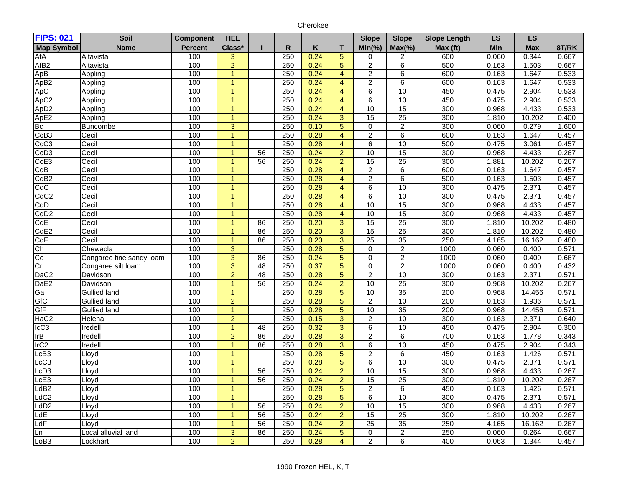| Cherokee |
|----------|
|----------|

| <b>FIPS: 021</b>  | Soil                     | <b>Component</b> | <b>HEL</b>     |                 |           |      |                         | <b>Slope</b>            | <b>Slope</b>    | <b>Slope Length</b> | <b>LS</b> | <b>LS</b>  |       |
|-------------------|--------------------------|------------------|----------------|-----------------|-----------|------|-------------------------|-------------------------|-----------------|---------------------|-----------|------------|-------|
| <b>Map Symbol</b> | Name                     | <b>Percent</b>   | Class*         | ш               | ${\sf R}$ | Κ    | T                       | $Min(\% )$              | $Max(\%)$       | Max (ft)            | Min       | <b>Max</b> | 8T/RK |
| AfA               | Altavista                | 100              | 3              |                 | 250       | 0.24 | $\overline{5}$          | 0                       | 2               | 600                 | 0.060     | 0.344      | 0.667 |
| AfB <sub>2</sub>  | Altavista                | 100              | $\overline{2}$ |                 | 250       | 0.24 | $\overline{5}$          | $\overline{2}$          | 6               | 500                 | 0.163     | 1.503      | 0.667 |
| ApB               | Appling                  | 100              | $\mathbf{1}$   |                 | 250       | 0.24 | $\overline{\mathbf{4}}$ | $\overline{\mathbf{c}}$ | 6               | 600                 | 0.163     | 1.647      | 0.533 |
| ApB <sub>2</sub>  | Appling                  | 100              | $\mathbf{1}$   |                 | 250       | 0.24 | $\overline{4}$          | $\overline{2}$          | $6\overline{6}$ | 600                 | 0.163     | 1.647      | 0.533 |
| ApC               | Appling                  | 100              | $\mathbf{1}$   |                 | 250       | 0.24 | $\overline{4}$          | 6                       | 10              | 450                 | 0.475     | 2.904      | 0.533 |
| ApC <sub>2</sub>  | Appling                  | 100              | 1              |                 | 250       | 0.24 | $\overline{4}$          | $\overline{6}$          | 10              | 450                 | 0.475     | 2.904      | 0.533 |
| Ap <sub>D2</sub>  | Appling                  | 100              | $\overline{1}$ |                 | 250       | 0.24 | $\overline{4}$          | 10                      | 15              | 300                 | 0.968     | 4.433      | 0.533 |
| ApE2              | Appling                  | 100              | $\mathbf{1}$   |                 | 250       | 0.24 | 3                       | 15                      | $\overline{25}$ | 300                 | 1.810     | 10.202     | 0.400 |
| Bc                | <b>Buncombe</b>          | 100              | 3              |                 | 250       | 0.10 | $\overline{5}$          | 0                       | $\overline{2}$  | 300                 | 0.060     | 0.279      | 1.600 |
| CcB3              | Cecil                    | 100              | $\mathbf{1}$   |                 | 250       | 0.28 | $\overline{4}$          | $\overline{2}$          | 6               | 600                 | 0.163     | 1.647      | 0.457 |
| CcC <sub>3</sub>  | Cecil                    | 100              | $\mathbf{1}$   |                 | 250       | 0.28 | $\overline{4}$          | 6                       | 10              | 500                 | 0.475     | 3.061      | 0.457 |
| CcD <sub>3</sub>  | Cecil                    | 100              | $\overline{1}$ | 56              | 250       | 0.24 | $\overline{2}$          | 10                      | 15              | 300                 | 0.968     | 4.433      | 0.267 |
| CcE <sub>3</sub>  | Cecil                    | 100              | 1              | 56              | 250       | 0.24 | $\overline{2}$          | 15                      | 25              | 300                 | 1.881     | 10.202     | 0.267 |
| CdB               | Cecil                    | 100              | $\mathbf{1}$   |                 | 250       | 0.28 | $\overline{4}$          | $\overline{2}$          | $\overline{6}$  | 600                 | 0.163     | 1.647      | 0.457 |
| CdB <sub>2</sub>  | Cecil                    | 100              | $\overline{1}$ |                 | 250       | 0.28 | $\overline{4}$          | $\overline{2}$          | $\overline{6}$  | 500                 | 0.163     | 1.503      | 0.457 |
| CdC               | Cecil                    | 100              | $\overline{1}$ |                 | 250       | 0.28 | $\overline{4}$          | $\overline{6}$          | 10              | 300                 | 0.475     | 2.371      | 0.457 |
| CdC2              | Cecil                    | 100              | $\mathbf{1}$   |                 | 250       | 0.28 | $\overline{4}$          | 6                       | 10              | 300                 | 0.475     | 2.371      | 0.457 |
| CdD               | Cecil                    | 100              | $\mathbf{1}$   |                 | 250       | 0.28 | $\overline{4}$          | 10                      | 15              | 300                 | 0.968     | 4.433      | 0.457 |
| CdD <sub>2</sub>  | Cecil                    | 100              | $\overline{1}$ |                 | 250       | 0.28 | $\overline{4}$          | 10                      | 15              | 300                 | 0.968     | 4.433      | 0.457 |
| CdE               | Cecil                    | 100              | 1              | 86              | 250       | 0.20 | $\overline{3}$          | 15                      | 25              | 300                 | 1.810     | 10.202     | 0.480 |
| CdE <sub>2</sub>  | Cecil                    | 100              | $\mathbf{1}$   | 86              | 250       | 0.20 | $\overline{3}$          | 15                      | 25              | 300                 | 1.810     | 10.202     | 0.480 |
| CdF               | Cecil                    | 100              | $\mathbf{1}$   | 86              | 250       | 0.20 | $\overline{3}$          | 25                      | 35              | 250                 | 4.165     | 16.162     | 0.480 |
| Ch                | Chewacla                 | 100              | $\overline{3}$ |                 | 250       | 0.28 | $\overline{5}$          | $\Omega$                | $\overline{2}$  | 1000                | 0.060     | 0.400      | 0.571 |
| Co                | Congaree fine sandy loam | 100              | 3              | 86              | 250       | 0.24 | $\overline{5}$          | 0                       | $\overline{2}$  | 1000                | 0.060     | 0.400      | 0.667 |
| Cr                | Congaree silt loam       | 100              | $\overline{3}$ | 48              | 250       | 0.37 | $\overline{5}$          | 0                       | $\overline{2}$  | 1000                | 0.060     | 0.400      | 0.432 |
| DaC <sub>2</sub>  | Davidson                 | 100              | $\overline{2}$ | 48              | 250       | 0.28 | $\overline{5}$          | $\overline{2}$          | 10              | 300                 | 0.163     | 2.371      | 0.571 |
| DaE <sub>2</sub>  | Davidson                 | 100              | $\mathbf{1}$   | 56              | 250       | 0.24 | $\overline{2}$          | 10                      | 25              | 300                 | 0.968     | 10.202     | 0.267 |
| Ga                | <b>Gullied land</b>      | 100              | $\overline{1}$ |                 | 250       | 0.28 | $\overline{5}$          | 10                      | 35              | 200                 | 0.968     | 14.456     | 0.571 |
| GfC               | <b>Gullied land</b>      | 100              | $\overline{2}$ |                 | 250       | 0.28 | $\overline{5}$          | $\overline{2}$          | 10              | 200                 | 0.163     | 1.936      | 0.571 |
| GfF               | <b>Gullied land</b>      | 100              | $\mathbf{1}$   |                 | 250       | 0.28 | $\overline{5}$          | $\overline{10}$         | 35              | 200                 | 0.968     | 14.456     | 0.571 |
| HaC <sub>2</sub>  | Helena                   | 100              | $\overline{2}$ |                 | 250       | 0.15 | $\overline{3}$          | $\overline{2}$          | 10              | 300                 | 0.163     | 2.371      | 0.640 |
| ICC3              | Iredell                  | 100              | $\mathbf{1}$   | 48              | 250       | 0.32 | $\overline{3}$          | $\overline{6}$          | 10              | 450                 | 0.475     | 2.904      | 0.300 |
| IrB               | Iredell                  | 100              | $\overline{2}$ | 86              | 250       | 0.28 | $\overline{3}$          | $\overline{2}$          | 6               | 700                 | 0.163     | 1.778      | 0.343 |
| Ir <sub>C2</sub>  | Iredell                  | 100              | 1              | 86              | 250       | 0.28 | $\overline{3}$          | $\overline{6}$          | 10              | 450                 | 0.475     | 2.904      | 0.343 |
| cB3               | Lloyd                    | 100              | $\mathbf{1}$   |                 | 250       | 0.28 | $\overline{5}$          | $\overline{2}$          | 6               | 450                 | 0.163     | 1.426      | 0.571 |
| LcC3              | Lloyd                    | 100              | $\mathbf{1}$   |                 | 250       | 0.28 | $\overline{5}$          | 6                       | 10              | 300                 | 0.475     | 2.371      | 0.571 |
| LcD <sub>3</sub>  | Lloyd                    | 100              | $\mathbf{1}$   | 56              | 250       | 0.24 | $\overline{2}$          | $\overline{10}$         | 15              | 300                 | 0.968     | 4.433      | 0.267 |
| cE3               | Lloyd                    | 100              | $\overline{1}$ | 56              | 250       | 0.24 | $\overline{2}$          | 15                      | 25              | 300                 | 1.810     | 10.202     | 0.267 |
| dB2               | _loyd                    | 100              | $\mathbf{1}$   |                 | 250       | 0.28 | $\overline{5}$          | $\overline{2}$          | 6               | 450                 | 0.163     | 1.426      | 0.571 |
| dC2               | Lloyd                    | 100              | $\overline{1}$ |                 | 250       | 0.28 | $\overline{5}$          | $\overline{6}$          | 10              | 300                 | 0.475     | 2.371      | 0.571 |
| LdD <sub>2</sub>  | Lloyd                    | 100              | 1              | 56              | 250       | 0.24 | $\overline{2}$          | 10                      | 15              | 300                 | 0.968     | 4.433      | 0.267 |
| LdE               | Lloyd                    | 100              | $\mathbf{1}$   | 56              | 250       | 0.24 | $\overline{2}$          | 15                      | 25              | 300                 | 1.810     | 10.202     | 0.267 |
| LdF               | Lloyd                    | 100              | $\mathbf{1}$   | 56              | 250       | 0.24 | $\overline{2}$          | 25                      | 35              | 250                 | 4.165     | 16.162     | 0.267 |
| Ln                | ocal alluvial land       | 100              | 3              | $\overline{86}$ | 250       | 0.24 | $\overline{5}$          | $\mathbf 0$             | $\overline{c}$  | 250                 | 0.060     | 0.264      | 0.667 |
| LoB <sub>3</sub>  | _ockhart                 | 100              | $\overline{2}$ |                 | 250       | 0.28 | $\overline{4}$          | $\overline{2}$          | $\overline{6}$  | 400                 | 0.063     | 1.344      | 0.457 |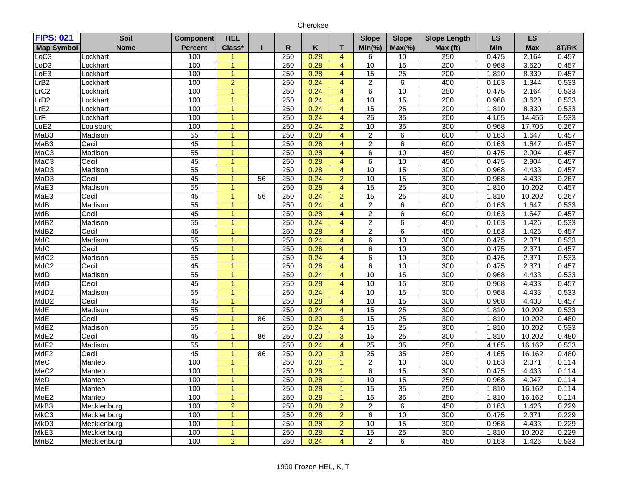| Cherokee |
|----------|
|----------|

| Class*<br>${\sf R}$<br>Κ<br>$Min(\% )$<br>$Max(\% )$<br>Min<br>8T/RK<br><b>Percent</b><br>T<br>Max (ft)<br><b>Max</b><br><b>Name</b><br>250<br>0.28<br>100<br>$\overline{4}$<br>250<br>0.475<br>2.164<br>0.457<br>Lockhart<br>6<br>10<br>100<br>250<br>0.28<br>10<br>15<br>200<br>0.968<br>3.620<br>$\mathbf{1}$<br>$\overline{4}$<br>0.457<br>Lockhart<br>100<br>250<br>0.28<br>15<br>$\overline{25}$<br>200<br>1.810<br>8.330<br>0.457<br>Lockhart<br>1<br>$\overline{4}$<br>100<br>$\overline{2}$<br>0.24<br>$6\overline{6}$<br>400<br>rB2<br>250<br>$\overline{4}$<br>$\overline{2}$<br>0.163<br>1.344<br>0.533<br>Lockhart<br>100<br>250<br>0.24<br>$\overline{4}$<br>10<br>250<br>$\overline{6}$<br>0.475<br>2.164<br>0.533<br>_ockhart<br>$\mathbf{1}$<br>100<br>250<br>10<br>15<br>200<br>3.620<br>0.533<br>0.24<br>$\overline{4}$<br>0.968<br>Lockhart<br>1<br>25<br>200<br>100<br>250<br>0.24<br>15<br>1.810<br>8.330<br>0.533<br>$\overline{1}$<br>$\overline{4}$<br>Lockhart<br>250<br>35<br>200<br>100<br>0.24<br>$\overline{25}$<br>14.456<br>0.533<br>_ockhart<br>$\overline{4}$<br>4.165<br>1<br>35<br>300<br>LuE <sub>2</sub><br>100<br>250<br>0.24<br>$\overline{2}$<br>10<br>0.968<br>17.705<br>0.267<br>Louisburg<br>$M$ aB3<br>55<br>250<br>0.28<br>$\overline{4}$<br>$\overline{2}$<br>$\overline{6}$<br>600<br>0.163<br>1.647<br>0.457<br>Madison<br>$\mathbf{1}$<br>MaB <sub>3</sub><br>45<br>250<br>0.28<br>600<br>$\overline{4}$<br>$\overline{2}$<br>$\overline{6}$<br>0.163<br>1.647<br>0.457<br>Cecil<br>1<br>MaC <sub>3</sub><br>55<br>250<br>0.28<br>$\overline{4}$<br>10<br>450<br>2.904<br>0.457<br>Madison<br>$\overline{1}$<br>6<br>0.475<br>MaC <sub>3</sub><br>45<br>250<br>0.28<br>$\overline{6}$<br>10<br>450<br>2.904<br>$\overline{4}$<br>0.475<br>0.457<br>Cecil<br>1<br>MaD <sub>3</sub><br>55<br>250<br>15<br>300<br>0.28<br>$\overline{4}$<br>10<br>0.968<br>4.433<br>0.457<br>Madison<br>1<br>MaD <sub>3</sub><br>45<br>250<br>15<br>300<br>$\overline{56}$<br>0.24<br>$\overline{2}$<br>$\overline{10}$<br>0.968<br>4.433<br>0.267<br>Cecil<br>1<br>55<br>25<br>300<br>Madison<br>250<br>0.28<br>$\overline{4}$<br>15<br>1.810<br>10.202<br>0.457<br>45<br>$\overline{25}$<br>300<br>250<br>0.24<br>$\overline{2}$<br>15<br>1.810<br>10.202<br>0.267<br>Cecil<br>56<br>$\mathbf{1}$<br>55<br>250<br>600<br>Madison<br>0.24<br>$\overline{4}$<br>$\overline{2}$<br>$\overline{6}$<br>0.163<br>1.647<br>0.533<br>1<br>45<br>Cecil<br>250<br>0.28<br>$\overline{4}$<br>$\overline{2}$<br>$\overline{6}$<br>600<br>1.647<br>0.457<br>$\mathbf{1}$<br>0.163<br>55<br>250<br>0.24<br>$\overline{2}$<br>$\overline{6}$<br>450<br>1.426<br>0.533<br>Madison<br>$\overline{4}$<br>0.163<br>45<br>Cecil<br>250<br>0.28<br>$\boldsymbol{2}$<br>6<br>450<br>0.163<br>1.426<br>0.457<br>$\overline{1}$<br>$\overline{4}$<br>55<br>250<br>0.24<br>10<br>300<br>$\overline{4}$<br>$\overline{6}$<br>0.475<br>2.371<br>0.533<br>Madison<br>45<br>250<br>0.28<br>10<br>300<br>Cecil<br>$\overline{4}$<br>$\overline{6}$<br>0.475<br>2.371<br>0.457<br>MdC <sub>2</sub><br>55<br>250<br>0.24<br>$\overline{4}$<br>10<br>300<br>0.475<br>2.371<br>0.533<br>Madison<br>6<br>$\mathbf{1}$<br>45<br>250<br>0.28<br>10<br>300<br>2.371<br>Cecil<br>$\overline{4}$<br>6<br>0.475<br>0.457<br>1<br>55<br>250<br>15<br>300<br>Madison<br>$\overline{1}$<br>0.24<br>$\overline{4}$<br>$\overline{10}$<br>0.968<br>4.433<br>0.533<br>250<br>15<br>45<br>0.28<br>10<br>300<br>Cecil<br>$\overline{4}$<br>0.968<br>4.433<br>0.457<br>1<br>55<br>250<br>0.24<br>10<br>15<br>300<br>0.533<br>Madison<br>$\overline{4}$<br>0.968<br>4.433<br>45<br>250<br>0.28<br>$\overline{4}$<br>10<br>15<br>300<br>4.433<br>Cecil<br>0.968<br>0.457<br>1<br>25<br>55<br>250<br>0.24<br>$\overline{4}$<br>15<br>300<br>10.202<br>Madison<br>1.810<br>0.533<br>$\blacktriangleleft$<br>25<br>45<br>$\overline{86}$<br>250<br>0.20<br>$\overline{3}$<br>15<br>300<br>10.202<br>0.480<br>Cecil<br>1.810<br>$\mathbf{1}$<br>55<br>250<br>0.24<br>15<br>25<br>300<br>Madison<br>$\overline{4}$<br>1.810<br>10.202<br>0.533<br>1<br>45<br>$\overline{25}$<br>250<br>$\overline{3}$<br>15<br>300<br>1.810<br>0.480<br>Cecil<br>86<br>0.20<br>10.202<br>$\mathbf{1}$<br>55<br>250<br>25<br>35<br>250<br>0.24<br>$\overline{4}$<br>4.165<br>16.162<br>0.533<br>Madison<br>MdF <sub>2</sub><br>Cecil<br>45<br>$\overline{3}$<br>$\overline{25}$<br>35<br>250<br>86<br>250<br>0.20<br>4.165<br>16.162<br>0.480<br>1<br>MeC<br>250<br>10<br>300<br>100<br>0.28<br>$\overline{2}$<br>0.163<br>2.371<br>0.114<br>Manteo<br>$\overline{1}$<br>$\mathbf{1}$<br>100<br>15<br>MeC <sub>2</sub><br>250<br>0.28<br>300<br>0.475<br>4.433<br>$\overline{1}$<br>$\,6$<br>0.114<br>Manteo<br>$\mathbf{1}$<br>MeD<br>100<br>250<br>0.28<br>10<br>15<br>250<br>0.968<br>4.047<br>Manteo<br>$\mathbf{1}$<br>$\overline{1}$<br>0.114<br>MeE<br>100<br>250<br>15<br>35<br>250<br>0.28<br>1.810<br>16.162<br>0.114<br>Manteo<br>$\overline{1}$<br>1<br>MeE2<br>35<br>100<br>250<br>0.28<br>15<br>250<br>1.810<br>16.162<br>0.114<br>Manteo<br>$\overline{1}$<br>MkB3<br>$\overline{2}$<br>250<br>$\overline{2}$<br>0.229<br>100<br>0.28<br>$\overline{2}$<br>$\overline{6}$<br>450<br>0.163<br>1.426<br>Mecklenburg<br>100<br>$\overline{2}$<br>10<br>300<br>MkC3<br>250<br>0.28<br>$\overline{6}$<br>0.475<br>2.371<br>0.229<br>Mecklenburg<br>1<br>MkD <sub>3</sub><br>250<br>0.229<br>100<br>0.28<br>$\overline{2}$<br>10<br>15<br>300<br>4.433<br>Mecklenburg<br>0.968<br>$\mathbf{1}$<br>MkE3<br>100<br>250<br>0.28<br>$\overline{2}$<br>$\overline{15}$<br>$\overline{25}$<br>300<br>10.202<br>0.229<br>1.810<br>Mecklenburg<br>1 | <b>FIPS: 021</b>  | Soil        | <b>Component</b> | <b>HEL</b>     |     |      |                | <b>Slope</b>   | <b>Slope</b> | <b>Slope Length</b> | <b>LS</b> | <b>LS</b> |       |
|-------------------------------------------------------------------------------------------------------------------------------------------------------------------------------------------------------------------------------------------------------------------------------------------------------------------------------------------------------------------------------------------------------------------------------------------------------------------------------------------------------------------------------------------------------------------------------------------------------------------------------------------------------------------------------------------------------------------------------------------------------------------------------------------------------------------------------------------------------------------------------------------------------------------------------------------------------------------------------------------------------------------------------------------------------------------------------------------------------------------------------------------------------------------------------------------------------------------------------------------------------------------------------------------------------------------------------------------------------------------------------------------------------------------------------------------------------------------------------------------------------------------------------------------------------------------------------------------------------------------------------------------------------------------------------------------------------------------------------------------------------------------------------------------------------------------------------------------------------------------------------------------------------------------------------------------------------------------------------------------------------------------------------------------------------------------------------------------------------------------------------------------------------------------------------------------------------------------------------------------------------------------------------------------------------------------------------------------------------------------------------------------------------------------------------------------------------------------------------------------------------------------------------------------------------------------------------------------------------------------------------------------------------------------------------------------------------------------------------------------------------------------------------------------------------------------------------------------------------------------------------------------------------------------------------------------------------------------------------------------------------------------------------------------------------------------------------------------------------------------------------------------------------------------------------------------------------------------------------------------------------------------------------------------------------------------------------------------------------------------------------------------------------------------------------------------------------------------------------------------------------------------------------------------------------------------------------------------------------------------------------------------------------------------------------------------------------------------------------------------------------------------------------------------------------------------------------------------------------------------------------------------------------------------------------------------------------------------------------------------------------------------------------------------------------------------------------------------------------------------------------------------------------------------------------------------------------------------------------------------------------------------------------------------------------------------------------------------------------------------------------------------------------------------------------------------------------------------------------------------------------------------------------------------------------------------------------------------------------------------------------------------------------------------------------------------------------------------------------------------------------------------------------------------------------------------------------------------------------------------------------------------------------------------------------------------------------------------------------------------------------------------------------------------------------------------------------------------------------------------------------------------------------------------------------------------------------------------------------------------------------------------------------------------------------------------------------------------------------------------------------------------------------------------------------------------------------------------------------------------------------------------------------------------------------------------------------------------------------------------------------------------------------------------------------------------------------------|-------------------|-------------|------------------|----------------|-----|------|----------------|----------------|--------------|---------------------|-----------|-----------|-------|
|                                                                                                                                                                                                                                                                                                                                                                                                                                                                                                                                                                                                                                                                                                                                                                                                                                                                                                                                                                                                                                                                                                                                                                                                                                                                                                                                                                                                                                                                                                                                                                                                                                                                                                                                                                                                                                                                                                                                                                                                                                                                                                                                                                                                                                                                                                                                                                                                                                                                                                                                                                                                                                                                                                                                                                                                                                                                                                                                                                                                                                                                                                                                                                                                                                                                                                                                                                                                                                                                                                                                                                                                                                                                                                                                                                                                                                                                                                                                                                                                                                                                                                                                                                                                                                                                                                                                                                                                                                                                                                                                                                                                                                                                                                                                                                                                                                                                                                                                                                                                                                                                                                                                                                                                                                                                                                                                                                                                                                                                                                                                                                                                                                                                                                             | <b>Map Symbol</b> |             |                  |                |     |      |                |                |              |                     |           |           |       |
|                                                                                                                                                                                                                                                                                                                                                                                                                                                                                                                                                                                                                                                                                                                                                                                                                                                                                                                                                                                                                                                                                                                                                                                                                                                                                                                                                                                                                                                                                                                                                                                                                                                                                                                                                                                                                                                                                                                                                                                                                                                                                                                                                                                                                                                                                                                                                                                                                                                                                                                                                                                                                                                                                                                                                                                                                                                                                                                                                                                                                                                                                                                                                                                                                                                                                                                                                                                                                                                                                                                                                                                                                                                                                                                                                                                                                                                                                                                                                                                                                                                                                                                                                                                                                                                                                                                                                                                                                                                                                                                                                                                                                                                                                                                                                                                                                                                                                                                                                                                                                                                                                                                                                                                                                                                                                                                                                                                                                                                                                                                                                                                                                                                                                                             | LoC3              |             |                  |                |     |      |                |                |              |                     |           |           |       |
|                                                                                                                                                                                                                                                                                                                                                                                                                                                                                                                                                                                                                                                                                                                                                                                                                                                                                                                                                                                                                                                                                                                                                                                                                                                                                                                                                                                                                                                                                                                                                                                                                                                                                                                                                                                                                                                                                                                                                                                                                                                                                                                                                                                                                                                                                                                                                                                                                                                                                                                                                                                                                                                                                                                                                                                                                                                                                                                                                                                                                                                                                                                                                                                                                                                                                                                                                                                                                                                                                                                                                                                                                                                                                                                                                                                                                                                                                                                                                                                                                                                                                                                                                                                                                                                                                                                                                                                                                                                                                                                                                                                                                                                                                                                                                                                                                                                                                                                                                                                                                                                                                                                                                                                                                                                                                                                                                                                                                                                                                                                                                                                                                                                                                                             | LoD <sub>3</sub>  |             |                  |                |     |      |                |                |              |                     |           |           |       |
|                                                                                                                                                                                                                                                                                                                                                                                                                                                                                                                                                                                                                                                                                                                                                                                                                                                                                                                                                                                                                                                                                                                                                                                                                                                                                                                                                                                                                                                                                                                                                                                                                                                                                                                                                                                                                                                                                                                                                                                                                                                                                                                                                                                                                                                                                                                                                                                                                                                                                                                                                                                                                                                                                                                                                                                                                                                                                                                                                                                                                                                                                                                                                                                                                                                                                                                                                                                                                                                                                                                                                                                                                                                                                                                                                                                                                                                                                                                                                                                                                                                                                                                                                                                                                                                                                                                                                                                                                                                                                                                                                                                                                                                                                                                                                                                                                                                                                                                                                                                                                                                                                                                                                                                                                                                                                                                                                                                                                                                                                                                                                                                                                                                                                                             | LoE3              |             |                  |                |     |      |                |                |              |                     |           |           |       |
|                                                                                                                                                                                                                                                                                                                                                                                                                                                                                                                                                                                                                                                                                                                                                                                                                                                                                                                                                                                                                                                                                                                                                                                                                                                                                                                                                                                                                                                                                                                                                                                                                                                                                                                                                                                                                                                                                                                                                                                                                                                                                                                                                                                                                                                                                                                                                                                                                                                                                                                                                                                                                                                                                                                                                                                                                                                                                                                                                                                                                                                                                                                                                                                                                                                                                                                                                                                                                                                                                                                                                                                                                                                                                                                                                                                                                                                                                                                                                                                                                                                                                                                                                                                                                                                                                                                                                                                                                                                                                                                                                                                                                                                                                                                                                                                                                                                                                                                                                                                                                                                                                                                                                                                                                                                                                                                                                                                                                                                                                                                                                                                                                                                                                                             |                   |             |                  |                |     |      |                |                |              |                     |           |           |       |
|                                                                                                                                                                                                                                                                                                                                                                                                                                                                                                                                                                                                                                                                                                                                                                                                                                                                                                                                                                                                                                                                                                                                                                                                                                                                                                                                                                                                                                                                                                                                                                                                                                                                                                                                                                                                                                                                                                                                                                                                                                                                                                                                                                                                                                                                                                                                                                                                                                                                                                                                                                                                                                                                                                                                                                                                                                                                                                                                                                                                                                                                                                                                                                                                                                                                                                                                                                                                                                                                                                                                                                                                                                                                                                                                                                                                                                                                                                                                                                                                                                                                                                                                                                                                                                                                                                                                                                                                                                                                                                                                                                                                                                                                                                                                                                                                                                                                                                                                                                                                                                                                                                                                                                                                                                                                                                                                                                                                                                                                                                                                                                                                                                                                                                             | LrC <sub>2</sub>  |             |                  |                |     |      |                |                |              |                     |           |           |       |
|                                                                                                                                                                                                                                                                                                                                                                                                                                                                                                                                                                                                                                                                                                                                                                                                                                                                                                                                                                                                                                                                                                                                                                                                                                                                                                                                                                                                                                                                                                                                                                                                                                                                                                                                                                                                                                                                                                                                                                                                                                                                                                                                                                                                                                                                                                                                                                                                                                                                                                                                                                                                                                                                                                                                                                                                                                                                                                                                                                                                                                                                                                                                                                                                                                                                                                                                                                                                                                                                                                                                                                                                                                                                                                                                                                                                                                                                                                                                                                                                                                                                                                                                                                                                                                                                                                                                                                                                                                                                                                                                                                                                                                                                                                                                                                                                                                                                                                                                                                                                                                                                                                                                                                                                                                                                                                                                                                                                                                                                                                                                                                                                                                                                                                             | LrD <sub>2</sub>  |             |                  |                |     |      |                |                |              |                     |           |           |       |
|                                                                                                                                                                                                                                                                                                                                                                                                                                                                                                                                                                                                                                                                                                                                                                                                                                                                                                                                                                                                                                                                                                                                                                                                                                                                                                                                                                                                                                                                                                                                                                                                                                                                                                                                                                                                                                                                                                                                                                                                                                                                                                                                                                                                                                                                                                                                                                                                                                                                                                                                                                                                                                                                                                                                                                                                                                                                                                                                                                                                                                                                                                                                                                                                                                                                                                                                                                                                                                                                                                                                                                                                                                                                                                                                                                                                                                                                                                                                                                                                                                                                                                                                                                                                                                                                                                                                                                                                                                                                                                                                                                                                                                                                                                                                                                                                                                                                                                                                                                                                                                                                                                                                                                                                                                                                                                                                                                                                                                                                                                                                                                                                                                                                                                             | LrE <sub>2</sub>  |             |                  |                |     |      |                |                |              |                     |           |           |       |
|                                                                                                                                                                                                                                                                                                                                                                                                                                                                                                                                                                                                                                                                                                                                                                                                                                                                                                                                                                                                                                                                                                                                                                                                                                                                                                                                                                                                                                                                                                                                                                                                                                                                                                                                                                                                                                                                                                                                                                                                                                                                                                                                                                                                                                                                                                                                                                                                                                                                                                                                                                                                                                                                                                                                                                                                                                                                                                                                                                                                                                                                                                                                                                                                                                                                                                                                                                                                                                                                                                                                                                                                                                                                                                                                                                                                                                                                                                                                                                                                                                                                                                                                                                                                                                                                                                                                                                                                                                                                                                                                                                                                                                                                                                                                                                                                                                                                                                                                                                                                                                                                                                                                                                                                                                                                                                                                                                                                                                                                                                                                                                                                                                                                                                             | LrF               |             |                  |                |     |      |                |                |              |                     |           |           |       |
|                                                                                                                                                                                                                                                                                                                                                                                                                                                                                                                                                                                                                                                                                                                                                                                                                                                                                                                                                                                                                                                                                                                                                                                                                                                                                                                                                                                                                                                                                                                                                                                                                                                                                                                                                                                                                                                                                                                                                                                                                                                                                                                                                                                                                                                                                                                                                                                                                                                                                                                                                                                                                                                                                                                                                                                                                                                                                                                                                                                                                                                                                                                                                                                                                                                                                                                                                                                                                                                                                                                                                                                                                                                                                                                                                                                                                                                                                                                                                                                                                                                                                                                                                                                                                                                                                                                                                                                                                                                                                                                                                                                                                                                                                                                                                                                                                                                                                                                                                                                                                                                                                                                                                                                                                                                                                                                                                                                                                                                                                                                                                                                                                                                                                                             |                   |             |                  |                |     |      |                |                |              |                     |           |           |       |
|                                                                                                                                                                                                                                                                                                                                                                                                                                                                                                                                                                                                                                                                                                                                                                                                                                                                                                                                                                                                                                                                                                                                                                                                                                                                                                                                                                                                                                                                                                                                                                                                                                                                                                                                                                                                                                                                                                                                                                                                                                                                                                                                                                                                                                                                                                                                                                                                                                                                                                                                                                                                                                                                                                                                                                                                                                                                                                                                                                                                                                                                                                                                                                                                                                                                                                                                                                                                                                                                                                                                                                                                                                                                                                                                                                                                                                                                                                                                                                                                                                                                                                                                                                                                                                                                                                                                                                                                                                                                                                                                                                                                                                                                                                                                                                                                                                                                                                                                                                                                                                                                                                                                                                                                                                                                                                                                                                                                                                                                                                                                                                                                                                                                                                             |                   |             |                  |                |     |      |                |                |              |                     |           |           |       |
|                                                                                                                                                                                                                                                                                                                                                                                                                                                                                                                                                                                                                                                                                                                                                                                                                                                                                                                                                                                                                                                                                                                                                                                                                                                                                                                                                                                                                                                                                                                                                                                                                                                                                                                                                                                                                                                                                                                                                                                                                                                                                                                                                                                                                                                                                                                                                                                                                                                                                                                                                                                                                                                                                                                                                                                                                                                                                                                                                                                                                                                                                                                                                                                                                                                                                                                                                                                                                                                                                                                                                                                                                                                                                                                                                                                                                                                                                                                                                                                                                                                                                                                                                                                                                                                                                                                                                                                                                                                                                                                                                                                                                                                                                                                                                                                                                                                                                                                                                                                                                                                                                                                                                                                                                                                                                                                                                                                                                                                                                                                                                                                                                                                                                                             |                   |             |                  |                |     |      |                |                |              |                     |           |           |       |
|                                                                                                                                                                                                                                                                                                                                                                                                                                                                                                                                                                                                                                                                                                                                                                                                                                                                                                                                                                                                                                                                                                                                                                                                                                                                                                                                                                                                                                                                                                                                                                                                                                                                                                                                                                                                                                                                                                                                                                                                                                                                                                                                                                                                                                                                                                                                                                                                                                                                                                                                                                                                                                                                                                                                                                                                                                                                                                                                                                                                                                                                                                                                                                                                                                                                                                                                                                                                                                                                                                                                                                                                                                                                                                                                                                                                                                                                                                                                                                                                                                                                                                                                                                                                                                                                                                                                                                                                                                                                                                                                                                                                                                                                                                                                                                                                                                                                                                                                                                                                                                                                                                                                                                                                                                                                                                                                                                                                                                                                                                                                                                                                                                                                                                             |                   |             |                  |                |     |      |                |                |              |                     |           |           |       |
|                                                                                                                                                                                                                                                                                                                                                                                                                                                                                                                                                                                                                                                                                                                                                                                                                                                                                                                                                                                                                                                                                                                                                                                                                                                                                                                                                                                                                                                                                                                                                                                                                                                                                                                                                                                                                                                                                                                                                                                                                                                                                                                                                                                                                                                                                                                                                                                                                                                                                                                                                                                                                                                                                                                                                                                                                                                                                                                                                                                                                                                                                                                                                                                                                                                                                                                                                                                                                                                                                                                                                                                                                                                                                                                                                                                                                                                                                                                                                                                                                                                                                                                                                                                                                                                                                                                                                                                                                                                                                                                                                                                                                                                                                                                                                                                                                                                                                                                                                                                                                                                                                                                                                                                                                                                                                                                                                                                                                                                                                                                                                                                                                                                                                                             |                   |             |                  |                |     |      |                |                |              |                     |           |           |       |
|                                                                                                                                                                                                                                                                                                                                                                                                                                                                                                                                                                                                                                                                                                                                                                                                                                                                                                                                                                                                                                                                                                                                                                                                                                                                                                                                                                                                                                                                                                                                                                                                                                                                                                                                                                                                                                                                                                                                                                                                                                                                                                                                                                                                                                                                                                                                                                                                                                                                                                                                                                                                                                                                                                                                                                                                                                                                                                                                                                                                                                                                                                                                                                                                                                                                                                                                                                                                                                                                                                                                                                                                                                                                                                                                                                                                                                                                                                                                                                                                                                                                                                                                                                                                                                                                                                                                                                                                                                                                                                                                                                                                                                                                                                                                                                                                                                                                                                                                                                                                                                                                                                                                                                                                                                                                                                                                                                                                                                                                                                                                                                                                                                                                                                             |                   |             |                  |                |     |      |                |                |              |                     |           |           |       |
|                                                                                                                                                                                                                                                                                                                                                                                                                                                                                                                                                                                                                                                                                                                                                                                                                                                                                                                                                                                                                                                                                                                                                                                                                                                                                                                                                                                                                                                                                                                                                                                                                                                                                                                                                                                                                                                                                                                                                                                                                                                                                                                                                                                                                                                                                                                                                                                                                                                                                                                                                                                                                                                                                                                                                                                                                                                                                                                                                                                                                                                                                                                                                                                                                                                                                                                                                                                                                                                                                                                                                                                                                                                                                                                                                                                                                                                                                                                                                                                                                                                                                                                                                                                                                                                                                                                                                                                                                                                                                                                                                                                                                                                                                                                                                                                                                                                                                                                                                                                                                                                                                                                                                                                                                                                                                                                                                                                                                                                                                                                                                                                                                                                                                                             |                   |             |                  |                |     |      |                |                |              |                     |           |           |       |
|                                                                                                                                                                                                                                                                                                                                                                                                                                                                                                                                                                                                                                                                                                                                                                                                                                                                                                                                                                                                                                                                                                                                                                                                                                                                                                                                                                                                                                                                                                                                                                                                                                                                                                                                                                                                                                                                                                                                                                                                                                                                                                                                                                                                                                                                                                                                                                                                                                                                                                                                                                                                                                                                                                                                                                                                                                                                                                                                                                                                                                                                                                                                                                                                                                                                                                                                                                                                                                                                                                                                                                                                                                                                                                                                                                                                                                                                                                                                                                                                                                                                                                                                                                                                                                                                                                                                                                                                                                                                                                                                                                                                                                                                                                                                                                                                                                                                                                                                                                                                                                                                                                                                                                                                                                                                                                                                                                                                                                                                                                                                                                                                                                                                                                             | MaE3              |             |                  |                |     |      |                |                |              |                     |           |           |       |
|                                                                                                                                                                                                                                                                                                                                                                                                                                                                                                                                                                                                                                                                                                                                                                                                                                                                                                                                                                                                                                                                                                                                                                                                                                                                                                                                                                                                                                                                                                                                                                                                                                                                                                                                                                                                                                                                                                                                                                                                                                                                                                                                                                                                                                                                                                                                                                                                                                                                                                                                                                                                                                                                                                                                                                                                                                                                                                                                                                                                                                                                                                                                                                                                                                                                                                                                                                                                                                                                                                                                                                                                                                                                                                                                                                                                                                                                                                                                                                                                                                                                                                                                                                                                                                                                                                                                                                                                                                                                                                                                                                                                                                                                                                                                                                                                                                                                                                                                                                                                                                                                                                                                                                                                                                                                                                                                                                                                                                                                                                                                                                                                                                                                                                             | MaE3              |             |                  |                |     |      |                |                |              |                     |           |           |       |
|                                                                                                                                                                                                                                                                                                                                                                                                                                                                                                                                                                                                                                                                                                                                                                                                                                                                                                                                                                                                                                                                                                                                                                                                                                                                                                                                                                                                                                                                                                                                                                                                                                                                                                                                                                                                                                                                                                                                                                                                                                                                                                                                                                                                                                                                                                                                                                                                                                                                                                                                                                                                                                                                                                                                                                                                                                                                                                                                                                                                                                                                                                                                                                                                                                                                                                                                                                                                                                                                                                                                                                                                                                                                                                                                                                                                                                                                                                                                                                                                                                                                                                                                                                                                                                                                                                                                                                                                                                                                                                                                                                                                                                                                                                                                                                                                                                                                                                                                                                                                                                                                                                                                                                                                                                                                                                                                                                                                                                                                                                                                                                                                                                                                                                             | <b>MdB</b>        |             |                  |                |     |      |                |                |              |                     |           |           |       |
|                                                                                                                                                                                                                                                                                                                                                                                                                                                                                                                                                                                                                                                                                                                                                                                                                                                                                                                                                                                                                                                                                                                                                                                                                                                                                                                                                                                                                                                                                                                                                                                                                                                                                                                                                                                                                                                                                                                                                                                                                                                                                                                                                                                                                                                                                                                                                                                                                                                                                                                                                                                                                                                                                                                                                                                                                                                                                                                                                                                                                                                                                                                                                                                                                                                                                                                                                                                                                                                                                                                                                                                                                                                                                                                                                                                                                                                                                                                                                                                                                                                                                                                                                                                                                                                                                                                                                                                                                                                                                                                                                                                                                                                                                                                                                                                                                                                                                                                                                                                                                                                                                                                                                                                                                                                                                                                                                                                                                                                                                                                                                                                                                                                                                                             | <b>MdB</b>        |             |                  |                |     |      |                |                |              |                     |           |           |       |
|                                                                                                                                                                                                                                                                                                                                                                                                                                                                                                                                                                                                                                                                                                                                                                                                                                                                                                                                                                                                                                                                                                                                                                                                                                                                                                                                                                                                                                                                                                                                                                                                                                                                                                                                                                                                                                                                                                                                                                                                                                                                                                                                                                                                                                                                                                                                                                                                                                                                                                                                                                                                                                                                                                                                                                                                                                                                                                                                                                                                                                                                                                                                                                                                                                                                                                                                                                                                                                                                                                                                                                                                                                                                                                                                                                                                                                                                                                                                                                                                                                                                                                                                                                                                                                                                                                                                                                                                                                                                                                                                                                                                                                                                                                                                                                                                                                                                                                                                                                                                                                                                                                                                                                                                                                                                                                                                                                                                                                                                                                                                                                                                                                                                                                             | MdB <sub>2</sub>  |             |                  |                |     |      |                |                |              |                     |           |           |       |
|                                                                                                                                                                                                                                                                                                                                                                                                                                                                                                                                                                                                                                                                                                                                                                                                                                                                                                                                                                                                                                                                                                                                                                                                                                                                                                                                                                                                                                                                                                                                                                                                                                                                                                                                                                                                                                                                                                                                                                                                                                                                                                                                                                                                                                                                                                                                                                                                                                                                                                                                                                                                                                                                                                                                                                                                                                                                                                                                                                                                                                                                                                                                                                                                                                                                                                                                                                                                                                                                                                                                                                                                                                                                                                                                                                                                                                                                                                                                                                                                                                                                                                                                                                                                                                                                                                                                                                                                                                                                                                                                                                                                                                                                                                                                                                                                                                                                                                                                                                                                                                                                                                                                                                                                                                                                                                                                                                                                                                                                                                                                                                                                                                                                                                             | MdB <sub>2</sub>  |             |                  |                |     |      |                |                |              |                     |           |           |       |
|                                                                                                                                                                                                                                                                                                                                                                                                                                                                                                                                                                                                                                                                                                                                                                                                                                                                                                                                                                                                                                                                                                                                                                                                                                                                                                                                                                                                                                                                                                                                                                                                                                                                                                                                                                                                                                                                                                                                                                                                                                                                                                                                                                                                                                                                                                                                                                                                                                                                                                                                                                                                                                                                                                                                                                                                                                                                                                                                                                                                                                                                                                                                                                                                                                                                                                                                                                                                                                                                                                                                                                                                                                                                                                                                                                                                                                                                                                                                                                                                                                                                                                                                                                                                                                                                                                                                                                                                                                                                                                                                                                                                                                                                                                                                                                                                                                                                                                                                                                                                                                                                                                                                                                                                                                                                                                                                                                                                                                                                                                                                                                                                                                                                                                             | <b>MdC</b>        |             |                  |                |     |      |                |                |              |                     |           |           |       |
|                                                                                                                                                                                                                                                                                                                                                                                                                                                                                                                                                                                                                                                                                                                                                                                                                                                                                                                                                                                                                                                                                                                                                                                                                                                                                                                                                                                                                                                                                                                                                                                                                                                                                                                                                                                                                                                                                                                                                                                                                                                                                                                                                                                                                                                                                                                                                                                                                                                                                                                                                                                                                                                                                                                                                                                                                                                                                                                                                                                                                                                                                                                                                                                                                                                                                                                                                                                                                                                                                                                                                                                                                                                                                                                                                                                                                                                                                                                                                                                                                                                                                                                                                                                                                                                                                                                                                                                                                                                                                                                                                                                                                                                                                                                                                                                                                                                                                                                                                                                                                                                                                                                                                                                                                                                                                                                                                                                                                                                                                                                                                                                                                                                                                                             | <b>MdC</b>        |             |                  |                |     |      |                |                |              |                     |           |           |       |
|                                                                                                                                                                                                                                                                                                                                                                                                                                                                                                                                                                                                                                                                                                                                                                                                                                                                                                                                                                                                                                                                                                                                                                                                                                                                                                                                                                                                                                                                                                                                                                                                                                                                                                                                                                                                                                                                                                                                                                                                                                                                                                                                                                                                                                                                                                                                                                                                                                                                                                                                                                                                                                                                                                                                                                                                                                                                                                                                                                                                                                                                                                                                                                                                                                                                                                                                                                                                                                                                                                                                                                                                                                                                                                                                                                                                                                                                                                                                                                                                                                                                                                                                                                                                                                                                                                                                                                                                                                                                                                                                                                                                                                                                                                                                                                                                                                                                                                                                                                                                                                                                                                                                                                                                                                                                                                                                                                                                                                                                                                                                                                                                                                                                                                             |                   |             |                  |                |     |      |                |                |              |                     |           |           |       |
|                                                                                                                                                                                                                                                                                                                                                                                                                                                                                                                                                                                                                                                                                                                                                                                                                                                                                                                                                                                                                                                                                                                                                                                                                                                                                                                                                                                                                                                                                                                                                                                                                                                                                                                                                                                                                                                                                                                                                                                                                                                                                                                                                                                                                                                                                                                                                                                                                                                                                                                                                                                                                                                                                                                                                                                                                                                                                                                                                                                                                                                                                                                                                                                                                                                                                                                                                                                                                                                                                                                                                                                                                                                                                                                                                                                                                                                                                                                                                                                                                                                                                                                                                                                                                                                                                                                                                                                                                                                                                                                                                                                                                                                                                                                                                                                                                                                                                                                                                                                                                                                                                                                                                                                                                                                                                                                                                                                                                                                                                                                                                                                                                                                                                                             | MdC <sub>2</sub>  |             |                  |                |     |      |                |                |              |                     |           |           |       |
|                                                                                                                                                                                                                                                                                                                                                                                                                                                                                                                                                                                                                                                                                                                                                                                                                                                                                                                                                                                                                                                                                                                                                                                                                                                                                                                                                                                                                                                                                                                                                                                                                                                                                                                                                                                                                                                                                                                                                                                                                                                                                                                                                                                                                                                                                                                                                                                                                                                                                                                                                                                                                                                                                                                                                                                                                                                                                                                                                                                                                                                                                                                                                                                                                                                                                                                                                                                                                                                                                                                                                                                                                                                                                                                                                                                                                                                                                                                                                                                                                                                                                                                                                                                                                                                                                                                                                                                                                                                                                                                                                                                                                                                                                                                                                                                                                                                                                                                                                                                                                                                                                                                                                                                                                                                                                                                                                                                                                                                                                                                                                                                                                                                                                                             | <b>MdD</b>        |             |                  |                |     |      |                |                |              |                     |           |           |       |
|                                                                                                                                                                                                                                                                                                                                                                                                                                                                                                                                                                                                                                                                                                                                                                                                                                                                                                                                                                                                                                                                                                                                                                                                                                                                                                                                                                                                                                                                                                                                                                                                                                                                                                                                                                                                                                                                                                                                                                                                                                                                                                                                                                                                                                                                                                                                                                                                                                                                                                                                                                                                                                                                                                                                                                                                                                                                                                                                                                                                                                                                                                                                                                                                                                                                                                                                                                                                                                                                                                                                                                                                                                                                                                                                                                                                                                                                                                                                                                                                                                                                                                                                                                                                                                                                                                                                                                                                                                                                                                                                                                                                                                                                                                                                                                                                                                                                                                                                                                                                                                                                                                                                                                                                                                                                                                                                                                                                                                                                                                                                                                                                                                                                                                             | MdD               |             |                  |                |     |      |                |                |              |                     |           |           |       |
|                                                                                                                                                                                                                                                                                                                                                                                                                                                                                                                                                                                                                                                                                                                                                                                                                                                                                                                                                                                                                                                                                                                                                                                                                                                                                                                                                                                                                                                                                                                                                                                                                                                                                                                                                                                                                                                                                                                                                                                                                                                                                                                                                                                                                                                                                                                                                                                                                                                                                                                                                                                                                                                                                                                                                                                                                                                                                                                                                                                                                                                                                                                                                                                                                                                                                                                                                                                                                                                                                                                                                                                                                                                                                                                                                                                                                                                                                                                                                                                                                                                                                                                                                                                                                                                                                                                                                                                                                                                                                                                                                                                                                                                                                                                                                                                                                                                                                                                                                                                                                                                                                                                                                                                                                                                                                                                                                                                                                                                                                                                                                                                                                                                                                                             | MdD <sub>2</sub>  |             |                  |                |     |      |                |                |              |                     |           |           |       |
|                                                                                                                                                                                                                                                                                                                                                                                                                                                                                                                                                                                                                                                                                                                                                                                                                                                                                                                                                                                                                                                                                                                                                                                                                                                                                                                                                                                                                                                                                                                                                                                                                                                                                                                                                                                                                                                                                                                                                                                                                                                                                                                                                                                                                                                                                                                                                                                                                                                                                                                                                                                                                                                                                                                                                                                                                                                                                                                                                                                                                                                                                                                                                                                                                                                                                                                                                                                                                                                                                                                                                                                                                                                                                                                                                                                                                                                                                                                                                                                                                                                                                                                                                                                                                                                                                                                                                                                                                                                                                                                                                                                                                                                                                                                                                                                                                                                                                                                                                                                                                                                                                                                                                                                                                                                                                                                                                                                                                                                                                                                                                                                                                                                                                                             | MdD <sub>2</sub>  |             |                  |                |     |      |                |                |              |                     |           |           |       |
|                                                                                                                                                                                                                                                                                                                                                                                                                                                                                                                                                                                                                                                                                                                                                                                                                                                                                                                                                                                                                                                                                                                                                                                                                                                                                                                                                                                                                                                                                                                                                                                                                                                                                                                                                                                                                                                                                                                                                                                                                                                                                                                                                                                                                                                                                                                                                                                                                                                                                                                                                                                                                                                                                                                                                                                                                                                                                                                                                                                                                                                                                                                                                                                                                                                                                                                                                                                                                                                                                                                                                                                                                                                                                                                                                                                                                                                                                                                                                                                                                                                                                                                                                                                                                                                                                                                                                                                                                                                                                                                                                                                                                                                                                                                                                                                                                                                                                                                                                                                                                                                                                                                                                                                                                                                                                                                                                                                                                                                                                                                                                                                                                                                                                                             | <b>MdE</b>        |             |                  |                |     |      |                |                |              |                     |           |           |       |
|                                                                                                                                                                                                                                                                                                                                                                                                                                                                                                                                                                                                                                                                                                                                                                                                                                                                                                                                                                                                                                                                                                                                                                                                                                                                                                                                                                                                                                                                                                                                                                                                                                                                                                                                                                                                                                                                                                                                                                                                                                                                                                                                                                                                                                                                                                                                                                                                                                                                                                                                                                                                                                                                                                                                                                                                                                                                                                                                                                                                                                                                                                                                                                                                                                                                                                                                                                                                                                                                                                                                                                                                                                                                                                                                                                                                                                                                                                                                                                                                                                                                                                                                                                                                                                                                                                                                                                                                                                                                                                                                                                                                                                                                                                                                                                                                                                                                                                                                                                                                                                                                                                                                                                                                                                                                                                                                                                                                                                                                                                                                                                                                                                                                                                             | MdE               |             |                  |                |     |      |                |                |              |                     |           |           |       |
|                                                                                                                                                                                                                                                                                                                                                                                                                                                                                                                                                                                                                                                                                                                                                                                                                                                                                                                                                                                                                                                                                                                                                                                                                                                                                                                                                                                                                                                                                                                                                                                                                                                                                                                                                                                                                                                                                                                                                                                                                                                                                                                                                                                                                                                                                                                                                                                                                                                                                                                                                                                                                                                                                                                                                                                                                                                                                                                                                                                                                                                                                                                                                                                                                                                                                                                                                                                                                                                                                                                                                                                                                                                                                                                                                                                                                                                                                                                                                                                                                                                                                                                                                                                                                                                                                                                                                                                                                                                                                                                                                                                                                                                                                                                                                                                                                                                                                                                                                                                                                                                                                                                                                                                                                                                                                                                                                                                                                                                                                                                                                                                                                                                                                                             | MdE <sub>2</sub>  |             |                  |                |     |      |                |                |              |                     |           |           |       |
|                                                                                                                                                                                                                                                                                                                                                                                                                                                                                                                                                                                                                                                                                                                                                                                                                                                                                                                                                                                                                                                                                                                                                                                                                                                                                                                                                                                                                                                                                                                                                                                                                                                                                                                                                                                                                                                                                                                                                                                                                                                                                                                                                                                                                                                                                                                                                                                                                                                                                                                                                                                                                                                                                                                                                                                                                                                                                                                                                                                                                                                                                                                                                                                                                                                                                                                                                                                                                                                                                                                                                                                                                                                                                                                                                                                                                                                                                                                                                                                                                                                                                                                                                                                                                                                                                                                                                                                                                                                                                                                                                                                                                                                                                                                                                                                                                                                                                                                                                                                                                                                                                                                                                                                                                                                                                                                                                                                                                                                                                                                                                                                                                                                                                                             | MdE <sub>2</sub>  |             |                  |                |     |      |                |                |              |                     |           |           |       |
|                                                                                                                                                                                                                                                                                                                                                                                                                                                                                                                                                                                                                                                                                                                                                                                                                                                                                                                                                                                                                                                                                                                                                                                                                                                                                                                                                                                                                                                                                                                                                                                                                                                                                                                                                                                                                                                                                                                                                                                                                                                                                                                                                                                                                                                                                                                                                                                                                                                                                                                                                                                                                                                                                                                                                                                                                                                                                                                                                                                                                                                                                                                                                                                                                                                                                                                                                                                                                                                                                                                                                                                                                                                                                                                                                                                                                                                                                                                                                                                                                                                                                                                                                                                                                                                                                                                                                                                                                                                                                                                                                                                                                                                                                                                                                                                                                                                                                                                                                                                                                                                                                                                                                                                                                                                                                                                                                                                                                                                                                                                                                                                                                                                                                                             | MdF <sub>2</sub>  |             |                  |                |     |      |                |                |              |                     |           |           |       |
|                                                                                                                                                                                                                                                                                                                                                                                                                                                                                                                                                                                                                                                                                                                                                                                                                                                                                                                                                                                                                                                                                                                                                                                                                                                                                                                                                                                                                                                                                                                                                                                                                                                                                                                                                                                                                                                                                                                                                                                                                                                                                                                                                                                                                                                                                                                                                                                                                                                                                                                                                                                                                                                                                                                                                                                                                                                                                                                                                                                                                                                                                                                                                                                                                                                                                                                                                                                                                                                                                                                                                                                                                                                                                                                                                                                                                                                                                                                                                                                                                                                                                                                                                                                                                                                                                                                                                                                                                                                                                                                                                                                                                                                                                                                                                                                                                                                                                                                                                                                                                                                                                                                                                                                                                                                                                                                                                                                                                                                                                                                                                                                                                                                                                                             |                   |             |                  |                |     |      |                |                |              |                     |           |           |       |
|                                                                                                                                                                                                                                                                                                                                                                                                                                                                                                                                                                                                                                                                                                                                                                                                                                                                                                                                                                                                                                                                                                                                                                                                                                                                                                                                                                                                                                                                                                                                                                                                                                                                                                                                                                                                                                                                                                                                                                                                                                                                                                                                                                                                                                                                                                                                                                                                                                                                                                                                                                                                                                                                                                                                                                                                                                                                                                                                                                                                                                                                                                                                                                                                                                                                                                                                                                                                                                                                                                                                                                                                                                                                                                                                                                                                                                                                                                                                                                                                                                                                                                                                                                                                                                                                                                                                                                                                                                                                                                                                                                                                                                                                                                                                                                                                                                                                                                                                                                                                                                                                                                                                                                                                                                                                                                                                                                                                                                                                                                                                                                                                                                                                                                             |                   |             |                  |                |     |      |                |                |              |                     |           |           |       |
|                                                                                                                                                                                                                                                                                                                                                                                                                                                                                                                                                                                                                                                                                                                                                                                                                                                                                                                                                                                                                                                                                                                                                                                                                                                                                                                                                                                                                                                                                                                                                                                                                                                                                                                                                                                                                                                                                                                                                                                                                                                                                                                                                                                                                                                                                                                                                                                                                                                                                                                                                                                                                                                                                                                                                                                                                                                                                                                                                                                                                                                                                                                                                                                                                                                                                                                                                                                                                                                                                                                                                                                                                                                                                                                                                                                                                                                                                                                                                                                                                                                                                                                                                                                                                                                                                                                                                                                                                                                                                                                                                                                                                                                                                                                                                                                                                                                                                                                                                                                                                                                                                                                                                                                                                                                                                                                                                                                                                                                                                                                                                                                                                                                                                                             |                   |             |                  |                |     |      |                |                |              |                     |           |           |       |
|                                                                                                                                                                                                                                                                                                                                                                                                                                                                                                                                                                                                                                                                                                                                                                                                                                                                                                                                                                                                                                                                                                                                                                                                                                                                                                                                                                                                                                                                                                                                                                                                                                                                                                                                                                                                                                                                                                                                                                                                                                                                                                                                                                                                                                                                                                                                                                                                                                                                                                                                                                                                                                                                                                                                                                                                                                                                                                                                                                                                                                                                                                                                                                                                                                                                                                                                                                                                                                                                                                                                                                                                                                                                                                                                                                                                                                                                                                                                                                                                                                                                                                                                                                                                                                                                                                                                                                                                                                                                                                                                                                                                                                                                                                                                                                                                                                                                                                                                                                                                                                                                                                                                                                                                                                                                                                                                                                                                                                                                                                                                                                                                                                                                                                             |                   |             |                  |                |     |      |                |                |              |                     |           |           |       |
|                                                                                                                                                                                                                                                                                                                                                                                                                                                                                                                                                                                                                                                                                                                                                                                                                                                                                                                                                                                                                                                                                                                                                                                                                                                                                                                                                                                                                                                                                                                                                                                                                                                                                                                                                                                                                                                                                                                                                                                                                                                                                                                                                                                                                                                                                                                                                                                                                                                                                                                                                                                                                                                                                                                                                                                                                                                                                                                                                                                                                                                                                                                                                                                                                                                                                                                                                                                                                                                                                                                                                                                                                                                                                                                                                                                                                                                                                                                                                                                                                                                                                                                                                                                                                                                                                                                                                                                                                                                                                                                                                                                                                                                                                                                                                                                                                                                                                                                                                                                                                                                                                                                                                                                                                                                                                                                                                                                                                                                                                                                                                                                                                                                                                                             |                   |             |                  |                |     |      |                |                |              |                     |           |           |       |
|                                                                                                                                                                                                                                                                                                                                                                                                                                                                                                                                                                                                                                                                                                                                                                                                                                                                                                                                                                                                                                                                                                                                                                                                                                                                                                                                                                                                                                                                                                                                                                                                                                                                                                                                                                                                                                                                                                                                                                                                                                                                                                                                                                                                                                                                                                                                                                                                                                                                                                                                                                                                                                                                                                                                                                                                                                                                                                                                                                                                                                                                                                                                                                                                                                                                                                                                                                                                                                                                                                                                                                                                                                                                                                                                                                                                                                                                                                                                                                                                                                                                                                                                                                                                                                                                                                                                                                                                                                                                                                                                                                                                                                                                                                                                                                                                                                                                                                                                                                                                                                                                                                                                                                                                                                                                                                                                                                                                                                                                                                                                                                                                                                                                                                             |                   |             |                  |                |     |      |                |                |              |                     |           |           |       |
|                                                                                                                                                                                                                                                                                                                                                                                                                                                                                                                                                                                                                                                                                                                                                                                                                                                                                                                                                                                                                                                                                                                                                                                                                                                                                                                                                                                                                                                                                                                                                                                                                                                                                                                                                                                                                                                                                                                                                                                                                                                                                                                                                                                                                                                                                                                                                                                                                                                                                                                                                                                                                                                                                                                                                                                                                                                                                                                                                                                                                                                                                                                                                                                                                                                                                                                                                                                                                                                                                                                                                                                                                                                                                                                                                                                                                                                                                                                                                                                                                                                                                                                                                                                                                                                                                                                                                                                                                                                                                                                                                                                                                                                                                                                                                                                                                                                                                                                                                                                                                                                                                                                                                                                                                                                                                                                                                                                                                                                                                                                                                                                                                                                                                                             |                   |             |                  |                |     |      |                |                |              |                     |           |           |       |
|                                                                                                                                                                                                                                                                                                                                                                                                                                                                                                                                                                                                                                                                                                                                                                                                                                                                                                                                                                                                                                                                                                                                                                                                                                                                                                                                                                                                                                                                                                                                                                                                                                                                                                                                                                                                                                                                                                                                                                                                                                                                                                                                                                                                                                                                                                                                                                                                                                                                                                                                                                                                                                                                                                                                                                                                                                                                                                                                                                                                                                                                                                                                                                                                                                                                                                                                                                                                                                                                                                                                                                                                                                                                                                                                                                                                                                                                                                                                                                                                                                                                                                                                                                                                                                                                                                                                                                                                                                                                                                                                                                                                                                                                                                                                                                                                                                                                                                                                                                                                                                                                                                                                                                                                                                                                                                                                                                                                                                                                                                                                                                                                                                                                                                             |                   |             |                  |                |     |      |                |                |              |                     |           |           |       |
|                                                                                                                                                                                                                                                                                                                                                                                                                                                                                                                                                                                                                                                                                                                                                                                                                                                                                                                                                                                                                                                                                                                                                                                                                                                                                                                                                                                                                                                                                                                                                                                                                                                                                                                                                                                                                                                                                                                                                                                                                                                                                                                                                                                                                                                                                                                                                                                                                                                                                                                                                                                                                                                                                                                                                                                                                                                                                                                                                                                                                                                                                                                                                                                                                                                                                                                                                                                                                                                                                                                                                                                                                                                                                                                                                                                                                                                                                                                                                                                                                                                                                                                                                                                                                                                                                                                                                                                                                                                                                                                                                                                                                                                                                                                                                                                                                                                                                                                                                                                                                                                                                                                                                                                                                                                                                                                                                                                                                                                                                                                                                                                                                                                                                                             |                   |             |                  |                |     |      |                |                |              |                     |           |           |       |
|                                                                                                                                                                                                                                                                                                                                                                                                                                                                                                                                                                                                                                                                                                                                                                                                                                                                                                                                                                                                                                                                                                                                                                                                                                                                                                                                                                                                                                                                                                                                                                                                                                                                                                                                                                                                                                                                                                                                                                                                                                                                                                                                                                                                                                                                                                                                                                                                                                                                                                                                                                                                                                                                                                                                                                                                                                                                                                                                                                                                                                                                                                                                                                                                                                                                                                                                                                                                                                                                                                                                                                                                                                                                                                                                                                                                                                                                                                                                                                                                                                                                                                                                                                                                                                                                                                                                                                                                                                                                                                                                                                                                                                                                                                                                                                                                                                                                                                                                                                                                                                                                                                                                                                                                                                                                                                                                                                                                                                                                                                                                                                                                                                                                                                             |                   |             |                  |                |     |      |                |                |              |                     |           |           |       |
|                                                                                                                                                                                                                                                                                                                                                                                                                                                                                                                                                                                                                                                                                                                                                                                                                                                                                                                                                                                                                                                                                                                                                                                                                                                                                                                                                                                                                                                                                                                                                                                                                                                                                                                                                                                                                                                                                                                                                                                                                                                                                                                                                                                                                                                                                                                                                                                                                                                                                                                                                                                                                                                                                                                                                                                                                                                                                                                                                                                                                                                                                                                                                                                                                                                                                                                                                                                                                                                                                                                                                                                                                                                                                                                                                                                                                                                                                                                                                                                                                                                                                                                                                                                                                                                                                                                                                                                                                                                                                                                                                                                                                                                                                                                                                                                                                                                                                                                                                                                                                                                                                                                                                                                                                                                                                                                                                                                                                                                                                                                                                                                                                                                                                                             | MnB <sub>2</sub>  | Mecklenburg | 100              | $\overline{2}$ | 250 | 0.24 | $\overline{4}$ | $\overline{2}$ | 6            | 450                 | 0.163     | 1.426     | 0.533 |